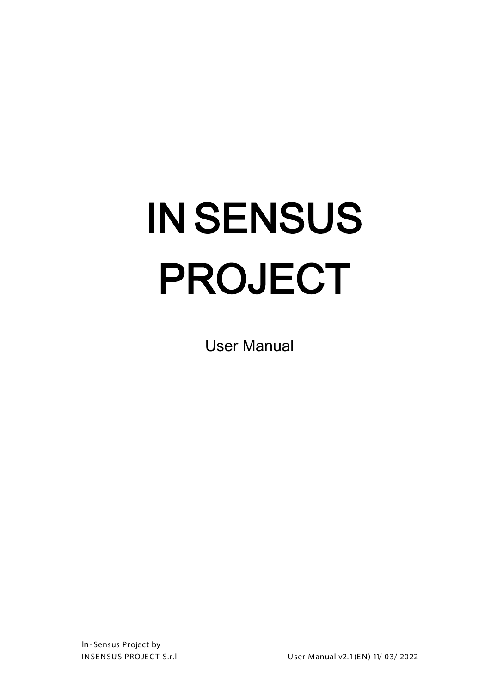# IN SENSUS PROJECT

User Manual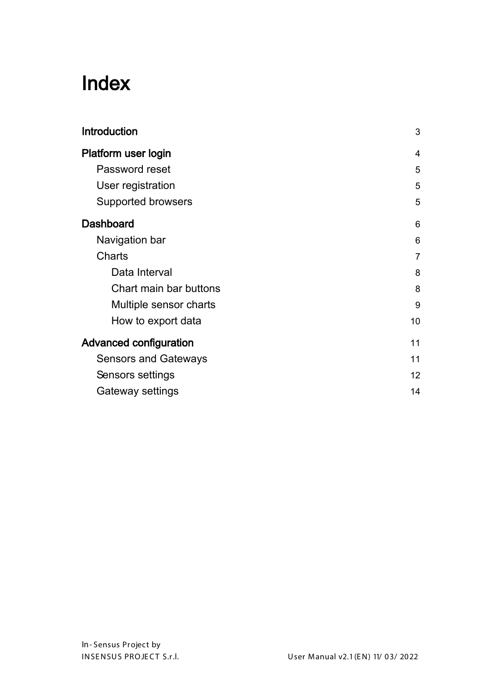## Index

| <b>Introduction</b>           | 3  |
|-------------------------------|----|
| Platform user login           | 4  |
| Password reset                | 5  |
| User registration             | 5  |
| <b>Supported browsers</b>     | 5  |
| <b>Dashboard</b>              | 6  |
| Navigation bar                | 6  |
| <b>Charts</b>                 | 7  |
| Data Interval                 | 8  |
| Chart main bar buttons        | 8  |
| Multiple sensor charts        | 9  |
| How to export data            | 10 |
| <b>Advanced configuration</b> | 11 |
| <b>Sensors and Gateways</b>   | 11 |
| Sensors settings              | 12 |
| Gateway settings              | 14 |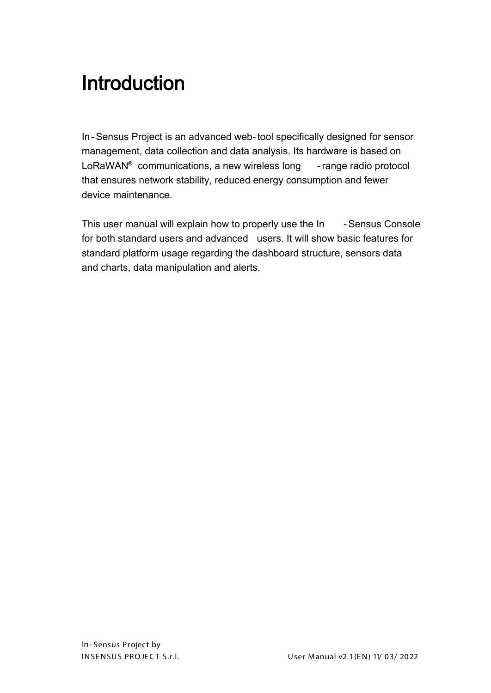# <span id="page-2-0"></span>Introduction

In-Sensus Project is an advanced web-tool specifically designed for sensor management, data collection and data analysis. Its hardware is based on LoRaWAN<sup>®</sup> communications, a new wireless long - range radio protocol that ensures network stability, reduced energy consumption and fewer device maintenance.

This user manual will explain how to properly use the In - Sensus Console for both standard users and advanced users. It will show basic features for standard platform usage regarding the dashboard structure, sensors data and charts, data manipulation and alerts.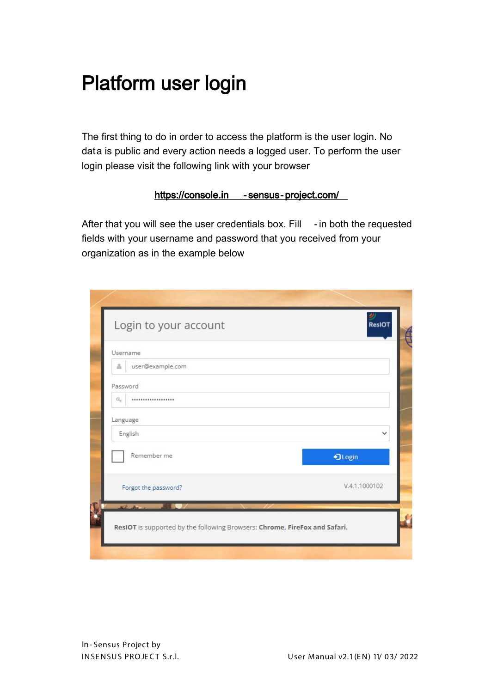# <span id="page-3-0"></span>Platform user login

The first thing to do in order to access the platform is the user login. No data is public and every action needs a logged user. To perform the user login please visit the following link with your browser

#### https://console.in - [sensus-project.com/](https://console.in-sensus-project.com/)

After that you will see the user credentials box. Fill - in both the requested fields with your username and password that you received from your organization as in the example below

| Login to your account                                                      | ResIOT        |
|----------------------------------------------------------------------------|---------------|
| Username                                                                   |               |
| user@example.com<br>å                                                      |               |
| Password                                                                   |               |
| $\mathcal{Q}_\phi$<br>                                                     |               |
| Language                                                                   |               |
| English                                                                    | $\checkmark$  |
| Remember me                                                                | +3 Login      |
| Forgot the password?                                                       | V.4.1.1000102 |
| in the first                                                               |               |
| ResIOT is supported by the following Browsers: Chrome, FireFox and Safari. |               |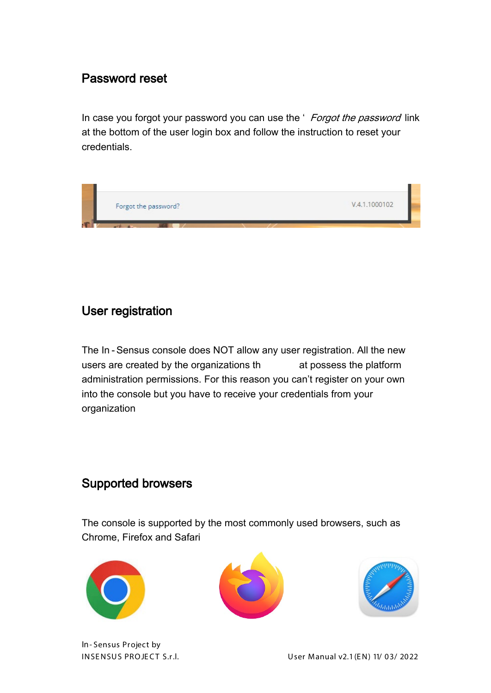## <span id="page-4-0"></span>Password reset

In case you forgot your password you can use the ' Forgot the password link at the bottom of the user login box and follow the instruction to reset your credentials.



#### <span id="page-4-1"></span>User registration

The In -Sensus console does NOT allow any user registration. All the new users are created by the organizations th at possess the platform administration permissions. For this reason you can't register on your own into the console but you have to receive your credentials from your organization

#### <span id="page-4-2"></span>Supported browsers

The console is supported by the most commonly used browsers, such as Chrome, Firefox and Safari







In- Sensus Project by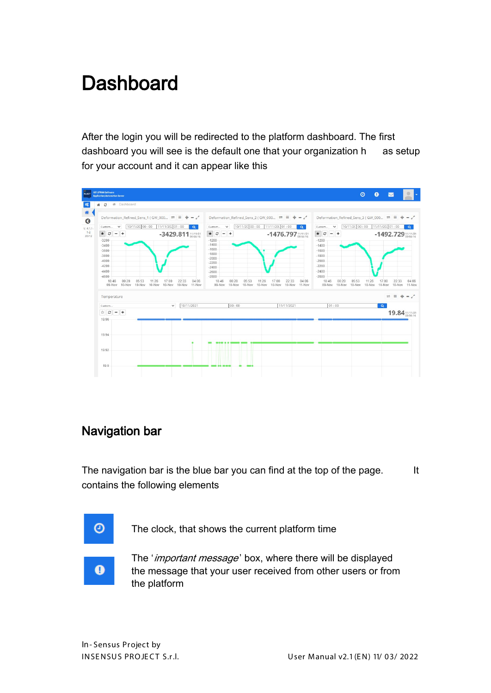# <span id="page-5-0"></span>**Dashboard**

After the login you will be redirected to the platform dashboard. The first dashboard you will see is the default one that your organization h as setup for your account and it can appear like this



### <span id="page-5-1"></span>Navigation bar

The navigation bar is the blue bar you can find at the top of the page. It contains the following elements



The '*important message*' box, where there will be displayed the message that your user received from other users or from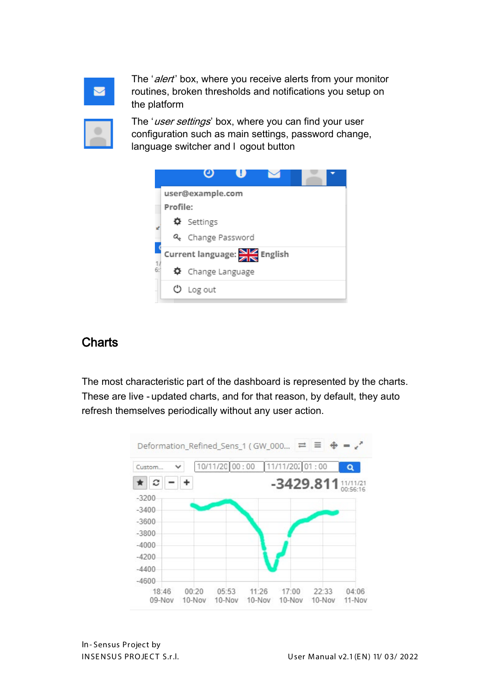The 'alert' box, where you receive alerts from your monitor routines, broken thresholds and notifications you setup on the platform



The 'user settings' box, where you can find your user configuration such as main settings, password change, language switcher and l ogout button



## <span id="page-6-0"></span>**Charts**

The most characteristic part of the dashboard is represented by the charts. These are live - updated charts, and for that reason, by default, they auto refresh themselves periodically without any user action.

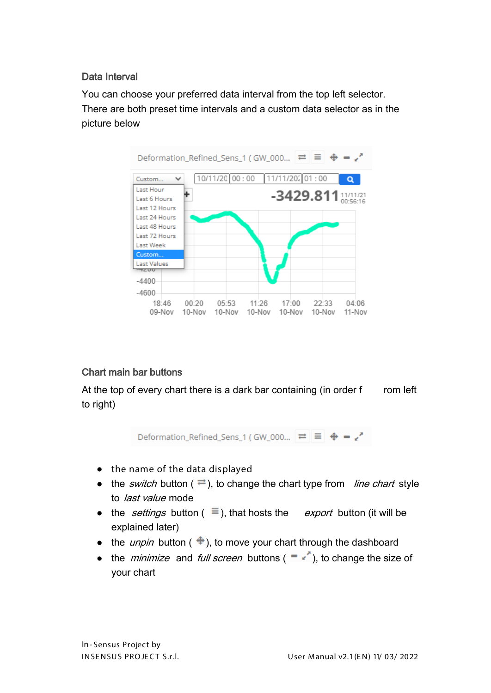#### <span id="page-7-0"></span>Data Interval

You can choose your preferred data interval from the top left selector. There are both preset time intervals and a custom data selector as in the picture below



#### <span id="page-7-1"></span>Chart main bar buttons

At the top of every chart there is a dark bar containing (in order  $f$  rom left to right)

Deformation Refined Sens 1 (GW 000...  $\left| \right| \right| \left| \right| \left| \right| \right| \left| \right| \left| \right| \right| \left| \right| \left| \right|$ 

- the name of the data displayed
- the *switch* button ( $\rightleftharpoons$ ), to change the chart type from *line chart* style to *last value* mode
- the *settings* button ( $\equiv$ ), that hosts the *export* button (it will be explained later)
- the *unpin* button ( $\triangleq$ ), to move your chart through the dashboard
- the *minimize* and *full screen* buttons ( $\overrightarrow{ }$ ), to change the size of your chart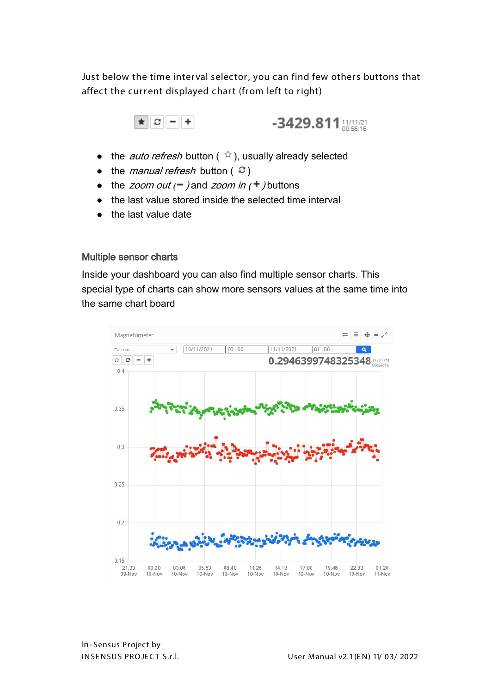Just below the time interval selector, you can find few others buttons that affect the current displayed chart (from left to right)



- the *auto refresh* button ( $\hat{r}$ ), usually already selected
- $\bullet$  the *manual refresh* button ( $\infty$ )
- the *zoom out*  $($   $)$  and *zoom in*  $($  +  $)$  buttons
- the last value stored inside the selected time interval
- the last value date

#### <span id="page-8-0"></span>Multiple sensor charts

Inside your dashboard you can also find multiple sensor charts. This special type of charts can show more sensors values at the same time into the same chart board

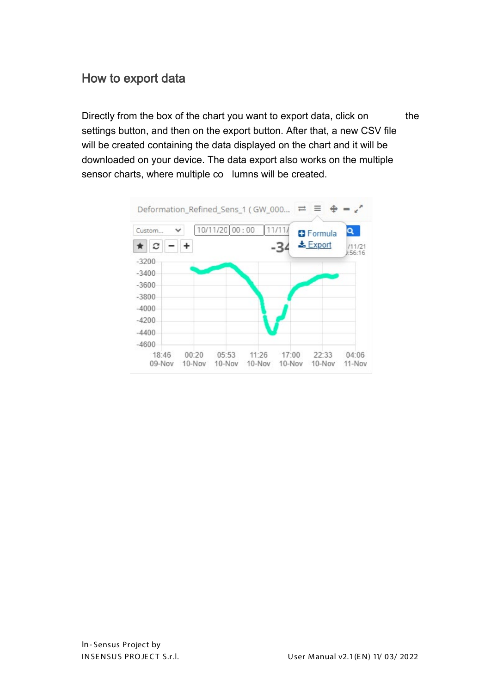## <span id="page-9-0"></span>How to export data

Directly from the box of the chart you want to export data, click on the settings button, and then on the export button. After that, a new CSV file will be created containing the data displayed on the chart and it will be downloaded on your device. The data export also works on the multiple sensor charts, where multiple co lumns will be created.

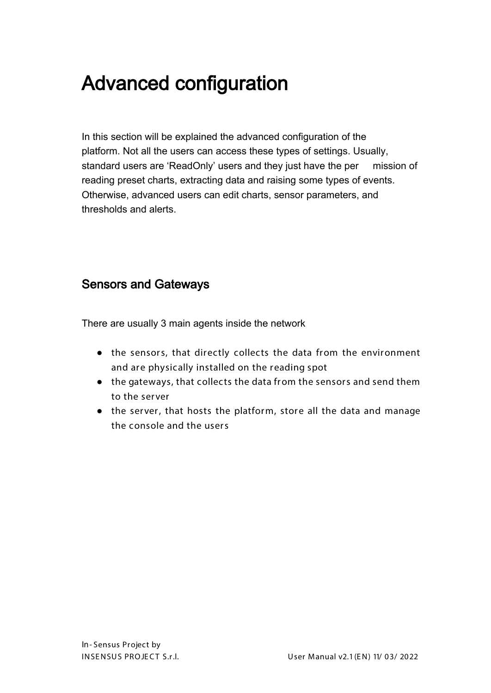# <span id="page-10-0"></span>Advanced configuration

In this section will be explained the advanced configuration of the platform. Not all the users can access these types of settings. Usually, standard users are 'ReadOnly' users and they just have the per mission of reading preset charts, extracting data and raising some types of events. Otherwise, advanced users can edit charts, sensor parameters, and thresholds and alerts.

#### <span id="page-10-1"></span>Sensors and Gateways

There are usually 3 main agents inside the network

- the sensors, that directly collects the data from the environment and are physically installed on the reading spot
- the gateways, that collects the data from the sensors and send them to the server
- the server, that hosts the platform, store all the data and manage the console and the users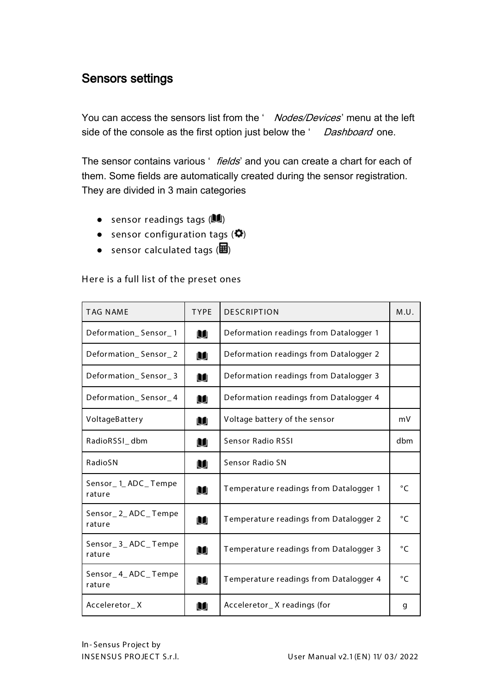#### <span id="page-11-0"></span>Sensors settings

You can access the sensors list from the ' Nodes/Devices' menu at the left side of the console as the first option just below the ' Dashboard' one.

The sensor contains various ' fields' and you can create a chart for each of them. Some fields are automatically created during the sensor registration. They are divided in 3 main categories

- sensor readings tags  $($
- sensor configuration tags  $($  $\bullet$  $)$
- sensor calculated tags  $(\mathbf{E})$

Here is a full list of the preset ones

| <b>TAG NAME</b>              | <b>TYPE</b> | <b>DESCRIPTION</b>                     | M.U.         |
|------------------------------|-------------|----------------------------------------|--------------|
| Deformation_Sensor_1         | u           | Deformation readings from Datalogger 1 |              |
| Deformation_Sensor_2         | u           | Deformation readings from Datalogger 2 |              |
| Deformation_Sensor_3         | M           | Deformation readings from Datalogger 3 |              |
| Deformation_Sensor_4         | u           | Deformation readings from Datalogger 4 |              |
| VoltageBattery               | u           | Voltage battery of the sensor          | mV           |
| RadioRSSI_dbm                | M           | <b>Sensor Radio RSSI</b>               | dbm          |
| RadioSN                      | M           | Sensor Radio SN                        |              |
| Sensor_1_ADC_Tempe<br>rature | M           | Temperature readings from Datalogger 1 | $^{\circ}C$  |
| Sensor_2_ADC_Tempe<br>rature | Ù.          | Temperature readings from Datalogger 2 | $^{\circ}$ C |
| Sensor_3_ADC_Tempe<br>rature | M           | Temperature readings from Datalogger 3 | $\circ$ C    |
| Sensor_4_ADC_Tempe<br>rature | M           | Temperature readings from Datalogger 4 | $\circ$ C    |
| Acceleretor_X                | M           | Acceleretor_X readings (for            | g            |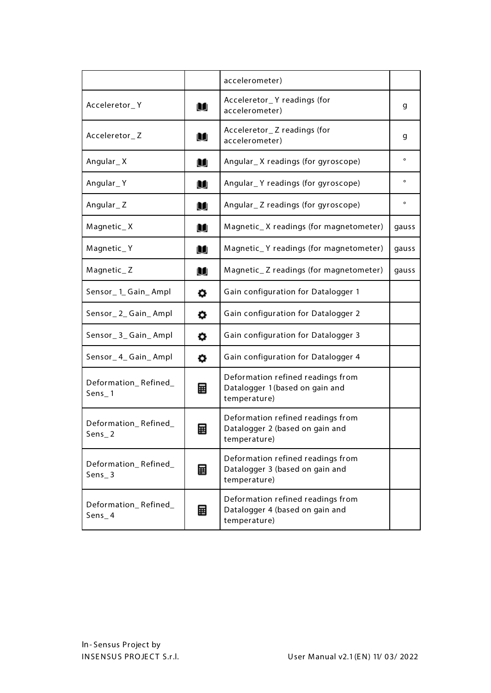|                                 |   | accelerometer)                                                                       |                |
|---------------------------------|---|--------------------------------------------------------------------------------------|----------------|
| Acceleretor_Y                   | u | Acceleretor_Y readings (for<br>accelerometer)                                        | g              |
| Acceleretor_Z                   | u | Acceleretor_Z readings (for<br>accelerometer)                                        | g              |
| Angular_X                       | M | Angular_X readings (for gyroscope)                                                   | $\mathbf{o}$   |
| Angular_Y                       | u | Angular_Y readings (for gyroscope)                                                   | $\mathbf{o}$   |
| Angular_Z                       | u | Angular_Z readings (for gyroscope)                                                   | $\mathsf{o}\,$ |
| Magnetic_X                      | u | Magnetic_X readings (for magnetometer)                                               | gauss          |
| Magnetic_Y                      | M | Magnetic_Y readings (for magnetometer)                                               | gauss          |
| Magnetic_Z                      | u | Magnetic_Z readings (for magnetometer)                                               | gauss          |
| Sensor_1_Gain_Ampl              | ۰ | Gain configuration for Datalogger 1                                                  |                |
| Sensor_2_Gain_Ampl              | ۰ | Gain configuration for Datalogger 2                                                  |                |
| Sensor_3_Gain_Ampl              | ۰ | Gain configuration for Datalogger 3                                                  |                |
| Sensor_4_Gain_Ampl              | ۰ | Gain configuration for Datalogger 4                                                  |                |
| Deformation_Refined_<br>Sens_1  | 圛 | Deformation refined readings from<br>Datalogger 1 (based on gain and<br>temperature) |                |
| Deformation Refined<br>$Sens_2$ | 囲 | Deformation refined readings from<br>Datalogger 2 (based on gain and<br>temperature) |                |
| Deformation_Refined_<br>Sens_3  | 圛 | Deformation refined readings from<br>Datalogger 3 (based on gain and<br>temperature) |                |
| Deformation_Refined_<br>Sens_4  | 圛 | Deformation refined readings from<br>Datalogger 4 (based on gain and<br>temperature) |                |